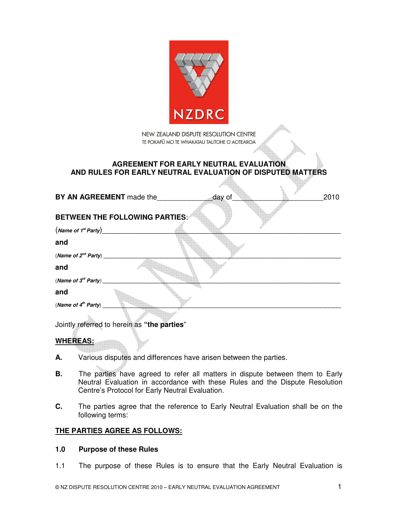

NEW ZEALAND DISPUTE RESOLUTION CENTRE TE POKAPŪ MO TE WHAKATAU TAUTOHE O AOTEAROA

## **AGREEMENT FOR EARLY NEUTRAL EVALUATION AND RULES FOR EARLY NEUTRAL EVALUATION OF DISPUTED MATTERS**

|                                 | BY AN AGREEMENT made the                | day of | 2010 |
|---------------------------------|-----------------------------------------|--------|------|
|                                 | <b>BETWEEN THE FOLLOWING PARTIES://</b> |        |      |
| (Name of 1 <sup>st</sup> Party) |                                         |        |      |
| and                             |                                         |        |      |
| (Name of $2^{nd}$ Party) ___    |                                         |        |      |
| and                             |                                         |        |      |
| (Name of $3^{rd}$ Party) __     |                                         |        |      |
| and                             |                                         |        |      |
| (Name of $4^{th}$ Party)        |                                         |        |      |
|                                 |                                         |        |      |

Jointly referred to herein as **"the parties**"

## **WHEREAS:**

- **A.** Various disputes and differences have arisen between the parties.
- **B.** The parties have agreed to refer all matters in dispute between them to Early Neutral Evaluation in accordance with these Rules and the Dispute Resolution Centre's Protocol for Early Neutral Evaluation.
- **C.** The parties agree that the reference to Early Neutral Evaluation shall be on the following terms:

## **THE PARTIES AGREE AS FOLLOWS:**

## **1.0 Purpose of these Rules**

1.1 The purpose of these Rules is to ensure that the Early Neutral Evaluation is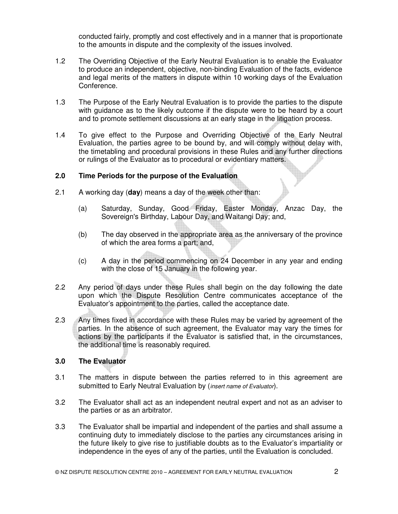conducted fairly, promptly and cost effectively and in a manner that is proportionate to the amounts in dispute and the complexity of the issues involved.

- 1.2 The Overriding Objective of the Early Neutral Evaluation is to enable the Evaluator to produce an independent, objective, non-binding Evaluation of the facts, evidence and legal merits of the matters in dispute within 10 working days of the Evaluation Conference.
- 1.3 The Purpose of the Early Neutral Evaluation is to provide the parties to the dispute with guidance as to the likely outcome if the dispute were to be heard by a court and to promote settlement discussions at an early stage in the litigation process.
- 1.4 To give effect to the Purpose and Overriding Objective of the Early Neutral Evaluation, the parties agree to be bound by, and will comply without delay with, the timetabling and procedural provisions in these Rules and any further directions or rulings of the Evaluator as to procedural or evidentiary matters.

## **2.0 Time Periods for the purpose of the Evaluation**

- 2.1 A working day (**day**) means a day of the week other than:
	- (a) Saturday, Sunday, Good Friday, Easter Monday, Anzac Day, the Sovereign's Birthday, Labour Day, and Waitangi Day; and,
	- (b) The day observed in the appropriate area as the anniversary of the province of which the area forms a part; and,
	- (c) A day in the period commencing on 24 December in any year and ending with the close of 15 January in the following year.
- 2.2 Any period of days under these Rules shall begin on the day following the date upon which the Dispute Resolution Centre communicates acceptance of the Evaluator's appointment to the parties, called the acceptance date.
- 2.3 Any times fixed in accordance with these Rules may be varied by agreement of the parties. In the absence of such agreement, the Evaluator may vary the times for actions by the participants if the Evaluator is satisfied that, in the circumstances, the additional time is reasonably required.

## **3.0 The Evaluator**

- 3.1 The matters in dispute between the parties referred to in this agreement are submitted to Early Neutral Evaluation by (*insert name of Evaluator*).
- 3.2 The Evaluator shall act as an independent neutral expert and not as an adviser to the parties or as an arbitrator.
- 3.3 The Evaluator shall be impartial and independent of the parties and shall assume a continuing duty to immediately disclose to the parties any circumstances arising in the future likely to give rise to justifiable doubts as to the Evaluator's impartiality or independence in the eyes of any of the parties, until the Evaluation is concluded.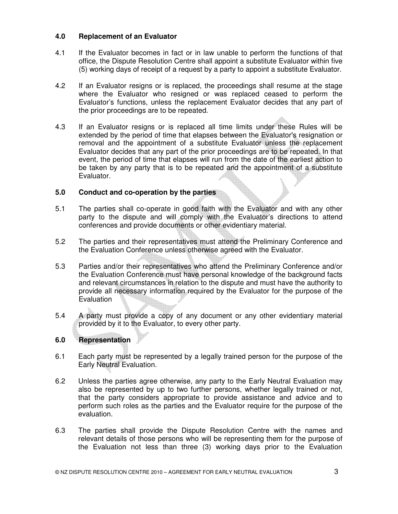## **4.0 Replacement of an Evaluator**

- 4.1 If the Evaluator becomes in fact or in law unable to perform the functions of that office, the Dispute Resolution Centre shall appoint a substitute Evaluator within five (5) working days of receipt of a request by a party to appoint a substitute Evaluator.
- 4.2 If an Evaluator resigns or is replaced, the proceedings shall resume at the stage where the Evaluator who resigned or was replaced ceased to perform the Evaluator's functions, unless the replacement Evaluator decides that any part of the prior proceedings are to be repeated.
- 4.3 If an Evaluator resigns or is replaced all time limits under these Rules will be extended by the period of time that elapses between the Evaluator's resignation or removal and the appointment of a substitute Evaluator unless the replacement Evaluator decides that any part of the prior proceedings are to be repeated. In that event, the period of time that elapses will run from the date of the earliest action to be taken by any party that is to be repeated and the appointment of a substitute Evaluator.

## **5.0 Conduct and co-operation by the parties**

- 5.1 The parties shall co-operate in good faith with the Evaluator and with any other party to the dispute and will comply with the Evaluator's directions to attend conferences and provide documents or other evidentiary material.
- 5.2 The parties and their representatives must attend the Preliminary Conference and the Evaluation Conference unless otherwise agreed with the Evaluator.
- 5.3 Parties and/or their representatives who attend the Preliminary Conference and/or the Evaluation Conference must have personal knowledge of the background facts and relevant circumstances in relation to the dispute and must have the authority to provide all necessary information required by the Evaluator for the purpose of the Evaluation
- 5.4 A party must provide a copy of any document or any other evidentiary material provided by it to the Evaluator, to every other party.

## **6.0 Representation**

- 6.1 Each party must be represented by a legally trained person for the purpose of the Early Neutral Evaluation.
- 6.2 Unless the parties agree otherwise, any party to the Early Neutral Evaluation may also be represented by up to two further persons, whether legally trained or not, that the party considers appropriate to provide assistance and advice and to perform such roles as the parties and the Evaluator require for the purpose of the evaluation.
- 6.3 The parties shall provide the Dispute Resolution Centre with the names and relevant details of those persons who will be representing them for the purpose of the Evaluation not less than three (3) working days prior to the Evaluation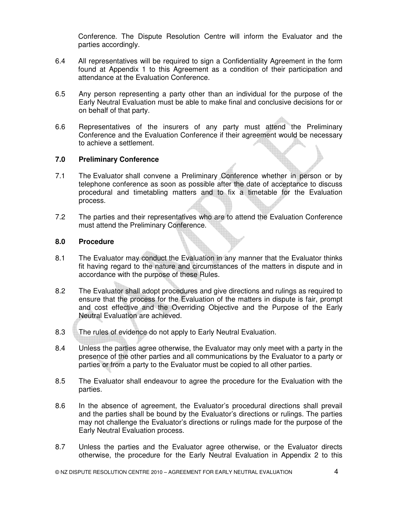Conference. The Dispute Resolution Centre will inform the Evaluator and the parties accordingly.

- 6.4 All representatives will be required to sign a Confidentiality Agreement in the form found at Appendix 1 to this Agreement as a condition of their participation and attendance at the Evaluation Conference.
- 6.5 Any person representing a party other than an individual for the purpose of the Early Neutral Evaluation must be able to make final and conclusive decisions for or on behalf of that party.
- 6.6 Representatives of the insurers of any party must attend the Preliminary Conference and the Evaluation Conference if their agreement would be necessary to achieve a settlement.

### **7.0 Preliminary Conference**

- 7.1 The Evaluator shall convene a Preliminary Conference whether in person or by telephone conference as soon as possible after the date of acceptance to discuss procedural and timetabling matters and to fix a timetable for the Evaluation process.
- 7.2 The parties and their representatives who are to attend the Evaluation Conference must attend the Preliminary Conference.

#### **8.0 Procedure**

- 8.1 The Evaluator may conduct the Evaluation in any manner that the Evaluator thinks fit having regard to the nature and circumstances of the matters in dispute and in accordance with the purpose of these Rules.
- 8.2 The Evaluator shall adopt procedures and give directions and rulings as required to ensure that the process for the Evaluation of the matters in dispute is fair, prompt and cost effective and the Overriding Objective and the Purpose of the Early Neutral Evaluation are achieved.
- 8.3 The rules of evidence do not apply to Early Neutral Evaluation.
- 8.4 Unless the parties agree otherwise, the Evaluator may only meet with a party in the presence of the other parties and all communications by the Evaluator to a party or parties or from a party to the Evaluator must be copied to all other parties.
- 8.5 The Evaluator shall endeavour to agree the procedure for the Evaluation with the parties.
- 8.6 In the absence of agreement, the Evaluator's procedural directions shall prevail and the parties shall be bound by the Evaluator's directions or rulings. The parties may not challenge the Evaluator's directions or rulings made for the purpose of the Early Neutral Evaluation process.
- 8.7 Unless the parties and the Evaluator agree otherwise, or the Evaluator directs otherwise, the procedure for the Early Neutral Evaluation in Appendix 2 to this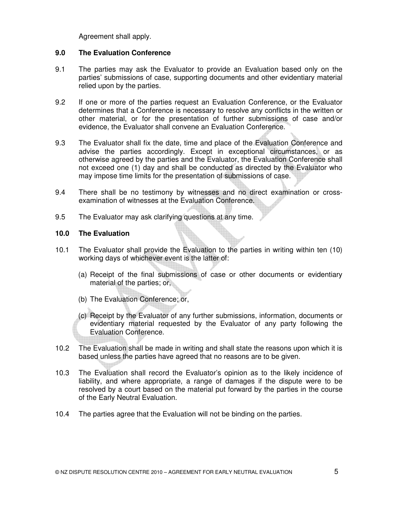Agreement shall apply.

### **9.0 The Evaluation Conference**

- 9.1 The parties may ask the Evaluator to provide an Evaluation based only on the parties' submissions of case, supporting documents and other evidentiary material relied upon by the parties.
- 9.2 If one or more of the parties request an Evaluation Conference, or the Evaluator determines that a Conference is necessary to resolve any conflicts in the written or other material, or for the presentation of further submissions of case and/or evidence, the Evaluator shall convene an Evaluation Conference.
- 9.3 The Evaluator shall fix the date, time and place of the Evaluation Conference and advise the parties accordingly. Except in exceptional circumstances, or as otherwise agreed by the parties and the Evaluator, the Evaluation Conference shall not exceed one (1) day and shall be conducted as directed by the Evaluator who may impose time limits for the presentation of submissions of case.
- 9.4 There shall be no testimony by witnesses and no direct examination or crossexamination of witnesses at the Evaluation Conference.
- 9.5 The Evaluator may ask clarifying questions at any time.

### **10.0 The Evaluation**

- 10.1 The Evaluator shall provide the Evaluation to the parties in writing within ten (10) working days of whichever event is the latter of:
	- (a) Receipt of the final submissions of case or other documents or evidentiary material of the parties; or,
	- (b) The Evaluation Conference; or,
	- (c) Receipt by the Evaluator of any further submissions, information, documents or evidentiary material requested by the Evaluator of any party following the Evaluation Conference.
- 10.2 The Evaluation shall be made in writing and shall state the reasons upon which it is based unless the parties have agreed that no reasons are to be given.
- 10.3 The Evaluation shall record the Evaluator's opinion as to the likely incidence of liability, and where appropriate, a range of damages if the dispute were to be resolved by a court based on the material put forward by the parties in the course of the Early Neutral Evaluation.
- 10.4 The parties agree that the Evaluation will not be binding on the parties.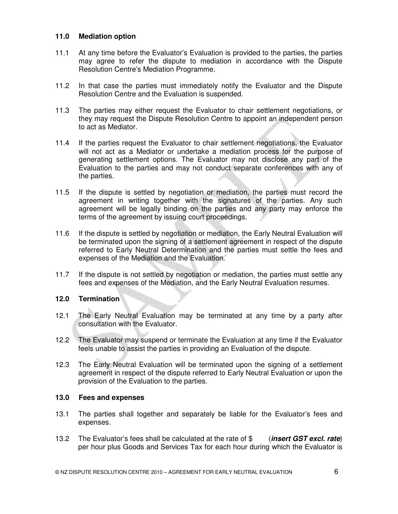### **11.0 Mediation option**

- 11.1 At any time before the Evaluator's Evaluation is provided to the parties, the parties may agree to refer the dispute to mediation in accordance with the Dispute Resolution Centre's Mediation Programme.
- 11.2 In that case the parties must immediately notify the Evaluator and the Dispute Resolution Centre and the Evaluation is suspended.
- 11.3 The parties may either request the Evaluator to chair settlement negotiations, or they may request the Dispute Resolution Centre to appoint an independent person to act as Mediator.
- 11.4 If the parties request the Evaluator to chair settlement negotiations, the Evaluator will not act as a Mediator or undertake a mediation process for the purpose of generating settlement options. The Evaluator may not disclose any part of the Evaluation to the parties and may not conduct separate conferences with any of the parties.
- 11.5 If the dispute is settled by negotiation or mediation, the parties must record the agreement in writing together with the signatures of the parties. Any such agreement will be legally binding on the parties and any party may enforce the terms of the agreement by issuing court proceedings.
- 11.6 If the dispute is settled by negotiation or mediation, the Early Neutral Evaluation will be terminated upon the signing of a settlement agreement in respect of the dispute referred to Early Neutral Determination and the parties must settle the fees and expenses of the Mediation and the Evaluation.
- 11.7 If the dispute is not settled by negotiation or mediation, the parties must settle any fees and expenses of the Mediation, and the Early Neutral Evaluation resumes.

## **12.0 Termination**

- 12.1 The Early Neutral Evaluation may be terminated at any time by a party after consultation with the Evaluator.
- 12.2 The Evaluator may suspend or terminate the Evaluation at any time if the Evaluator feels unable to assist the parties in providing an Evaluation of the dispute.
- 12.3 The Early Neutral Evaluation will be terminated upon the signing of a settlement agreement in respect of the dispute referred to Early Neutral Evaluation or upon the provision of the Evaluation to the parties.

#### **13.0 Fees and expenses**

- 13.1 The parties shall together and separately be liable for the Evaluator's fees and expenses.
- 13.2 The Evaluator's fees shall be calculated at the rate of \$ (**insert GST excl. rate**) per hour plus Goods and Services Tax for each hour during which the Evaluator is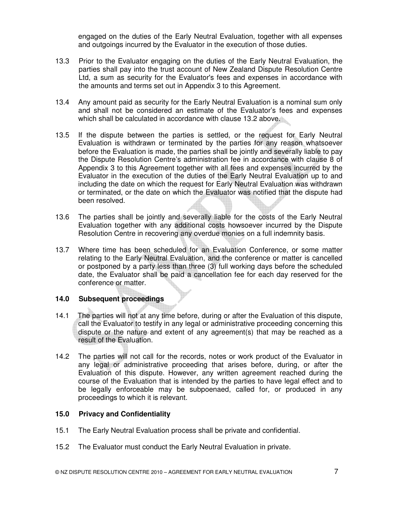engaged on the duties of the Early Neutral Evaluation, together with all expenses and outgoings incurred by the Evaluator in the execution of those duties.

- 13.3 Prior to the Evaluator engaging on the duties of the Early Neutral Evaluation, the parties shall pay into the trust account of New Zealand Dispute Resolution Centre Ltd, a sum as security for the Evaluator's fees and expenses in accordance with the amounts and terms set out in Appendix 3 to this Agreement.
- 13.4 Any amount paid as security for the Early Neutral Evaluation is a nominal sum only and shall not be considered an estimate of the Evaluator's fees and expenses which shall be calculated in accordance with clause 13.2 above.
- 13.5 If the dispute between the parties is settled, or the request for Early Neutral Evaluation is withdrawn or terminated by the parties for any reason whatsoever before the Evaluation is made, the parties shall be jointly and severally liable to pay the Dispute Resolution Centre's administration fee in accordance with clause 8 of Appendix 3 to this Agreement together with all fees and expenses incurred by the Evaluator in the execution of the duties of the Early Neutral Evaluation up to and including the date on which the request for Early Neutral Evaluation was withdrawn or terminated, or the date on which the Evaluator was notified that the dispute had been resolved.
- 13.6 The parties shall be jointly and severally liable for the costs of the Early Neutral Evaluation together with any additional costs howsoever incurred by the Dispute Resolution Centre in recovering any overdue monies on a full indemnity basis.
- 13.7 Where time has been scheduled for an Evaluation Conference, or some matter relating to the Early Neutral Evaluation, and the conference or matter is cancelled or postponed by a party less than three (3) full working days before the scheduled date, the Evaluator shall be paid a cancellation fee for each day reserved for the conference or matter.

## **14.0 Subsequent proceedings**

- 14.1 The parties will not at any time before, during or after the Evaluation of this dispute, call the Evaluator to testify in any legal or administrative proceeding concerning this dispute or the nature and extent of any agreement(s) that may be reached as a result of the Evaluation.
- 14.2 The parties will not call for the records, notes or work product of the Evaluator in any legal or administrative proceeding that arises before, during, or after the Evaluation of this dispute. However, any written agreement reached during the course of the Evaluation that is intended by the parties to have legal effect and to be legally enforceable may be subpoenaed, called for, or produced in any proceedings to which it is relevant.

#### **15.0 Privacy and Confidentiality**

- 15.1 The Early Neutral Evaluation process shall be private and confidential.
- 15.2 The Evaluator must conduct the Early Neutral Evaluation in private.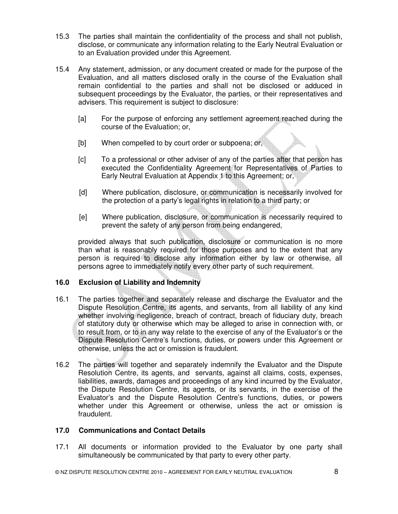- 15.3 The parties shall maintain the confidentiality of the process and shall not publish, disclose, or communicate any information relating to the Early Neutral Evaluation or to an Evaluation provided under this Agreement.
- 15.4 Any statement, admission, or any document created or made for the purpose of the Evaluation, and all matters disclosed orally in the course of the Evaluation shall remain confidential to the parties and shall not be disclosed or adduced in subsequent proceedings by the Evaluator, the parties, or their representatives and advisers. This requirement is subject to disclosure:
	- [a] For the purpose of enforcing any settlement agreement reached during the course of the Evaluation; or,
	- [b] When compelled to by court order or subpoena; or,
	- [c] To a professional or other adviser of any of the parties after that person has executed the Confidentiality Agreement for Representatives of Parties to Early Neutral Evaluation at Appendix 1 to this Agreement; or,
	- [d] Where publication, disclosure, or communication is necessarily involved for the protection of a party's legal rights in relation to a third party; or
	- [e] Where publication, disclosure, or communication is necessarily required to prevent the safety of any person from being endangered,

provided always that such publication, disclosure or communication is no more than what is reasonably required for those purposes and to the extent that any person is required to disclose any information either by law or otherwise, all persons agree to immediately notify every other party of such requirement.

## **16.0 Exclusion of Liability and Indemnity**

- 16.1 The parties together and separately release and discharge the Evaluator and the Dispute Resolution Centre, its agents, and servants, from all liability of any kind whether involving negligence, breach of contract, breach of fiduciary duty, breach of statutory duty or otherwise which may be alleged to arise in connection with, or to result from, or to in any way relate to the exercise of any of the Evaluator's or the Dispute Resolution Centre's functions, duties, or powers under this Agreement or otherwise, unless the act or omission is fraudulent.
- 16.2 The parties will together and separately indemnify the Evaluator and the Dispute Resolution Centre, its agents, and servants, against all claims, costs, expenses, liabilities, awards, damages and proceedings of any kind incurred by the Evaluator, the Dispute Resolution Centre, its agents, or its servants, in the exercise of the Evaluator's and the Dispute Resolution Centre's functions, duties, or powers whether under this Agreement or otherwise, unless the act or omission is fraudulent.

## **17.0 Communications and Contact Details**

17.1 All documents or information provided to the Evaluator by one party shall simultaneously be communicated by that party to every other party.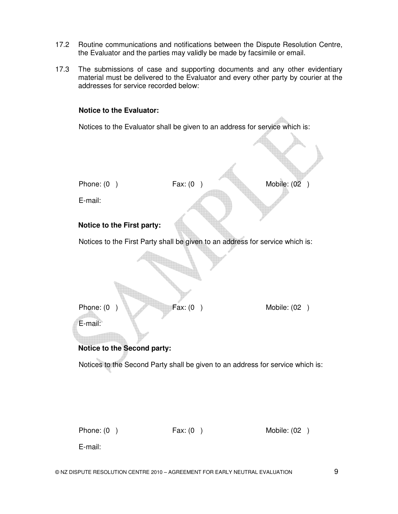- 17.2 Routine communications and notifications between the Dispute Resolution Centre, the Evaluator and the parties may validly be made by facsimile or email.
- 17.3 The submissions of case and supporting documents and any other evidentiary material must be delivered to the Evaluator and every other party by courier at the addresses for service recorded below:

#### **Notice to the Evaluator:**

Notices to the Evaluator shall be given to an address for service which is:



Phone: (0) Fax: (0) Fax: (0) Mobile: (02)

E-mail: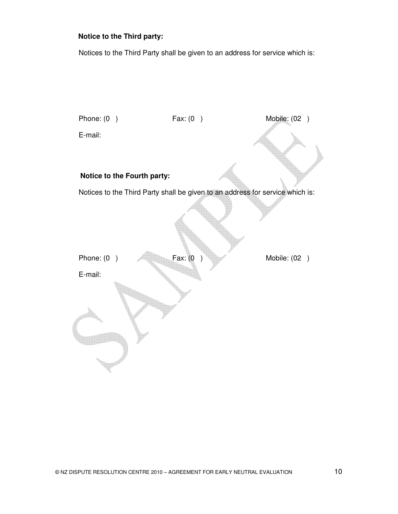## **Notice to the Third party:**

Notices to the Third Party shall be given to an address for service which is:

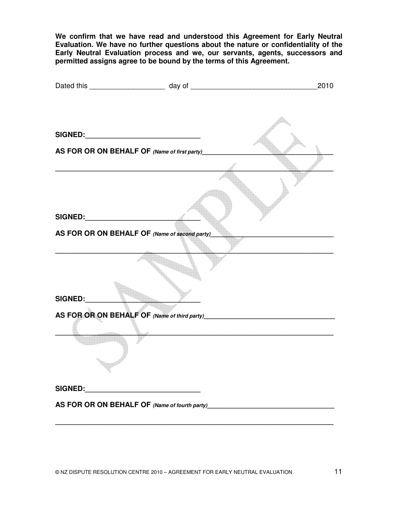**We confirm that we have read and understood this Agreement for Early Neutral Evaluation. We have no further questions about the nature or confidentiality of the Early Neutral Evaluation process and we, our servants, agents, successors and permitted assigns agree to be bound by the terms of this Agreement.**

|         |                                                                                  | 2010 |
|---------|----------------------------------------------------------------------------------|------|
|         |                                                                                  |      |
|         |                                                                                  |      |
|         | AS FOR OR ON BEHALF OF (Name of first party)                                     |      |
|         |                                                                                  |      |
|         |                                                                                  |      |
|         | AS FOR OR ON BEHALF OF (Name of second party)                                    |      |
|         |                                                                                  |      |
| SIGNED: |                                                                                  |      |
|         |                                                                                  |      |
|         |                                                                                  |      |
|         |                                                                                  |      |
|         |                                                                                  |      |
|         | AS FOR OR ON BEHALF OF (Name of fourth party)___________________________________ |      |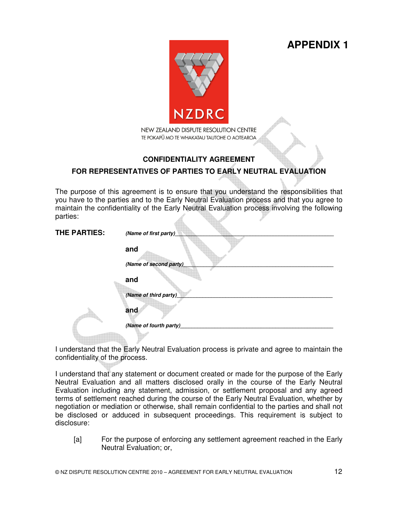**APPENDIX 1**



# **CONFIDENTIALITY AGREEMENT**

# **FOR REPRESENTATIVES OF PARTIES TO EARLY NEUTRAL EVALUATION**

The purpose of this agreement is to ensure that you understand the responsibilities that you have to the parties and to the Early Neutral Evaluation process and that you agree to maintain the confidentiality of the Early Neutral Evaluation process involving the following parties:

| THE PARTIES: | (Name of first party)   |
|--------------|-------------------------|
|              | and                     |
|              | (Name of second party)_ |
|              | and                     |
|              | (Name of third party)   |
|              | and                     |
|              | (Name of fourth party)  |
|              |                         |

I understand that the Early Neutral Evaluation process is private and agree to maintain the confidentiality of the process.

I understand that any statement or document created or made for the purpose of the Early Neutral Evaluation and all matters disclosed orally in the course of the Early Neutral Evaluation including any statement, admission, or settlement proposal and any agreed terms of settlement reached during the course of the Early Neutral Evaluation, whether by negotiation or mediation or otherwise, shall remain confidential to the parties and shall not be disclosed or adduced in subsequent proceedings. This requirement is subject to disclosure:

[a] For the purpose of enforcing any settlement agreement reached in the Early Neutral Evaluation; or,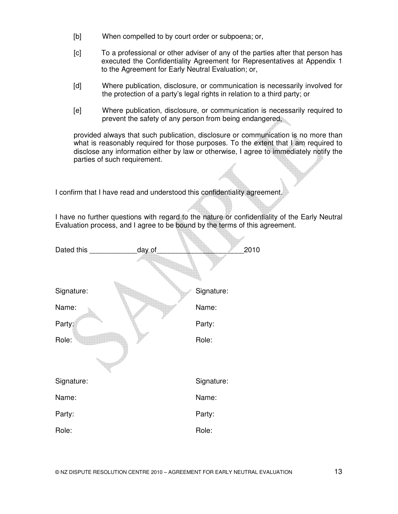- [b] When compelled to by court order or subpoena; or,
- [c] To a professional or other adviser of any of the parties after that person has executed the Confidentiality Agreement for Representatives at Appendix 1 to the Agreement for Early Neutral Evaluation; or,
- [d] Where publication, disclosure, or communication is necessarily involved for the protection of a party's legal rights in relation to a third party; or
- [e] Where publication, disclosure, or communication is necessarily required to prevent the safety of any person from being endangered,

provided always that such publication, disclosure or communication is no more than what is reasonably required for those purposes. To the extent that I am required to disclose any information either by law or otherwise, I agree to immediately notify the parties of such requirement.

I confirm that I have read and understood this confidentiality agreement.

I have no further questions with regard to the nature or confidentiality of the Early Neutral Evaluation process, and I agree to be bound by the terms of this agreement.

| Dated this | day of |            | 2010 |
|------------|--------|------------|------|
|            |        |            |      |
| Signature: |        | Signature: |      |
| Name:      |        | Name:      |      |
| Party:     |        | Party:     |      |
| Role:      |        | Role:      |      |
|            |        |            |      |
|            |        |            |      |
| Signature: |        | Signature: |      |
| Name:      |        | Name:      |      |
| Party:     |        | Party:     |      |
| Role:      |        | Role:      |      |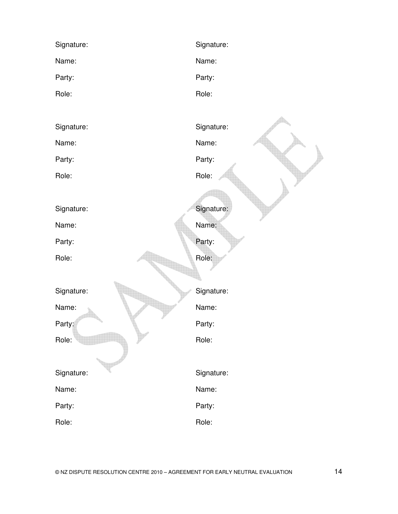| Signature: | Signature: |
|------------|------------|
| Name:      | Name:      |
| Party:     | Party:     |
| Role:      | Role:      |
|            |            |
| Signature: | Signature: |
| Name:      | Name:      |
| Party:     | Party:     |
| Role:      | Role:      |
|            |            |
| Signature: | Signature: |
| Name:      | Name:      |
| Party:     | Party:     |
| Role:      | Role:      |
|            |            |
| Signature: | Signature: |
| Name:      | Name:      |
| Party:     | Party:     |
| Role:      | Role:      |
|            |            |
| Signature: | Signature: |
| Name:      | Name:      |
| Party:     | Party:     |
| Role:      | Role:      |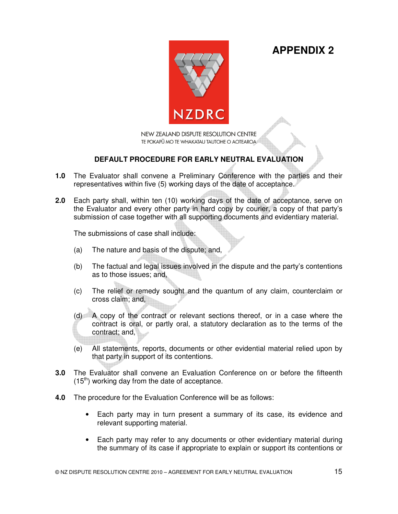**APPENDIX 2**



NEW ZEALAND DISPUTE RESOLUTION CENTRE TE POKAPŪ MO TE WHAKATAU TAUTOHE O AOTEAROA

## **DEFAULT PROCEDURE FOR EARLY NEUTRAL EVALUATION**

- **1.0** The Evaluator shall convene a Preliminary Conference with the parties and their representatives within five (5) working days of the date of acceptance.
- **2.0** Each party shall, within ten (10) working days of the date of acceptance, serve on the Evaluator and every other party in hard copy by courier, a copy of that party's submission of case together with all supporting documents and evidentiary material.

The submissions of case shall include:

- (a) The nature and basis of the dispute; and,
- (b) The factual and legal issues involved in the dispute and the party's contentions as to those issues; and,
- (c) The relief or remedy sought and the quantum of any claim, counterclaim or cross claim; and,
- (d) A copy of the contract or relevant sections thereof, or in a case where the contract is oral, or partly oral, a statutory declaration as to the terms of the contract; and,
- (e) All statements, reports, documents or other evidential material relied upon by that party in support of its contentions.
- **3.0** The Evaluator shall convene an Evaluation Conference on or before the fifteenth  $(15<sup>th</sup>)$  working day from the date of acceptance.
- **4.0** The procedure for the Evaluation Conference will be as follows:
	- Each party may in turn present a summary of its case, its evidence and relevant supporting material.
	- Each party may refer to any documents or other evidentiary material during the summary of its case if appropriate to explain or support its contentions or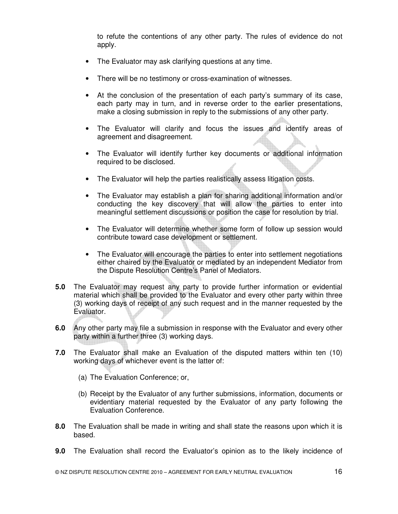to refute the contentions of any other party. The rules of evidence do not apply.

- The Evaluator may ask clarifying questions at any time.
- There will be no testimony or cross-examination of witnesses.
- At the conclusion of the presentation of each party's summary of its case, each party may in turn, and in reverse order to the earlier presentations, make a closing submission in reply to the submissions of any other party.
- The Evaluator will clarify and focus the issues and identify areas of agreement and disagreement.
- The Evaluator will identify further key documents or additional information required to be disclosed.
- The Evaluator will help the parties realistically assess litigation costs.
- The Evaluator may establish a plan for sharing additional information and/or conducting the key discovery that will allow the parties to enter into meaningful settlement discussions or position the case for resolution by trial.
- The Evaluator will determine whether some form of follow up session would contribute toward case development or settlement.
- The Evaluator will encourage the parties to enter into settlement negotiations either chaired by the Evaluator or mediated by an independent Mediator from the Dispute Resolution Centre's Panel of Mediators.
- **5.0** The Evaluator may request any party to provide further information or evidential material which shall be provided to the Evaluator and every other party within three (3) working days of receipt of any such request and in the manner requested by the Evaluator.
- **6.0** Any other party may file a submission in response with the Evaluator and every other party within a further three (3) working days.
- **7.0** The Evaluator shall make an Evaluation of the disputed matters within ten (10) working days of whichever event is the latter of:
	- (a) The Evaluation Conference; or,
	- (b) Receipt by the Evaluator of any further submissions, information, documents or evidentiary material requested by the Evaluator of any party following the Evaluation Conference.
- **8.0** The Evaluation shall be made in writing and shall state the reasons upon which it is based.
- **9.0** The Evaluation shall record the Evaluator's opinion as to the likely incidence of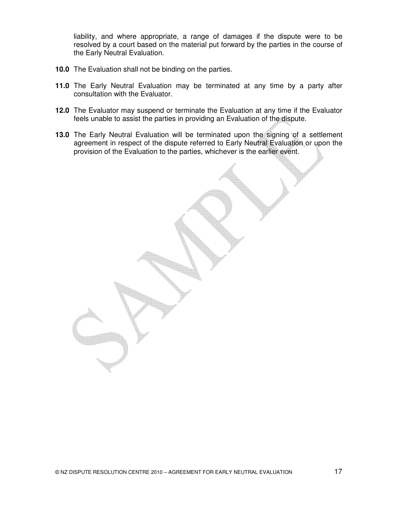liability, and where appropriate, a range of damages if the dispute were to be resolved by a court based on the material put forward by the parties in the course of the Early Neutral Evaluation.

- **10.0** The Evaluation shall not be binding on the parties.
- **11.0** The Early Neutral Evaluation may be terminated at any time by a party after consultation with the Evaluator.
- **12.0** The Evaluator may suspend or terminate the Evaluation at any time if the Evaluator feels unable to assist the parties in providing an Evaluation of the dispute.
- **13.0** The Early Neutral Evaluation will be terminated upon the signing of a settlement agreement in respect of the dispute referred to Early Neutral Evaluation or upon the provision of the Evaluation to the parties, whichever is the earlier event.

© NZ DISPUTE RESOLUTION CENTRE 2010 – AGREEMENT FOR EARLY NEUTRAL EVALUATION 17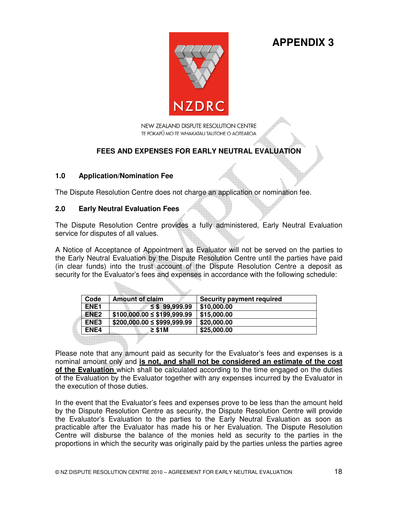**APPENDIX 3**



NEW ZEALAND DISPUTE RESOLUTION CENTRE TE POKAPU MO TE WHAKATAU TAUTOHE O AOTEAROA

## **FEES AND EXPENSES FOR EARLY NEUTRAL EVALUATION**

### **1.0 Application/Nomination Fee**

The Dispute Resolution Centre does not charge an application or nomination fee.

## **2.0 Early Neutral Evaluation Fees**

The Dispute Resolution Centre provides a fully administered, Early Neutral Evaluation service for disputes of all values.

A Notice of Acceptance of Appointment as Evaluator will not be served on the parties to the Early Neutral Evaluation by the Dispute Resolution Centre until the parties have paid (in clear funds) into the trust account of the Dispute Resolution Centre a deposit as security for the Evaluator's fees and expenses in accordance with the following schedule:

| Code             | <b>Amount of claim</b>        | <b>Security payment required</b> |
|------------------|-------------------------------|----------------------------------|
| ENE <sub>1</sub> | $\leq$ \$99,999.99            | \$10,000.00                      |
| ENE <sub>2</sub> | $$100,000.00 \le $199,999.99$ | \$15,000.00                      |
| ENE3             | $$200,000.00 \le $999,999.99$ | \$20,000.00                      |
| ENE4             | $\geq$ \$1M                   | \$25,000.00                      |
|                  |                               |                                  |

Please note that any amount paid as security for the Evaluator's fees and expenses is a nominal amount only and **is not, and shall not be considered an estimate of the cost of the Evaluation** which shall be calculated according to the time engaged on the duties of the Evaluation by the Evaluator together with any expenses incurred by the Evaluator in the execution of those duties.

In the event that the Evaluator's fees and expenses prove to be less than the amount held by the Dispute Resolution Centre as security, the Dispute Resolution Centre will provide the Evaluator's Evaluation to the parties to the Early Neutral Evaluation as soon as practicable after the Evaluator has made his or her Evaluation. The Dispute Resolution Centre will disburse the balance of the monies held as security to the parties in the proportions in which the security was originally paid by the parties unless the parties agree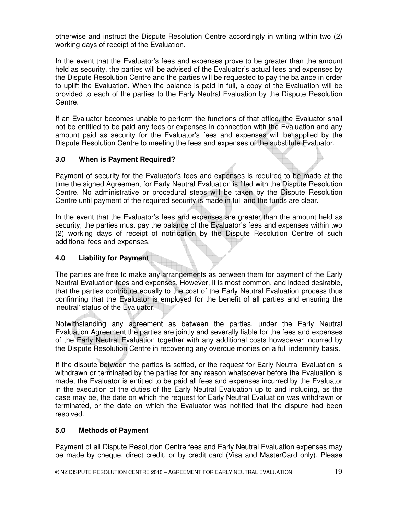otherwise and instruct the Dispute Resolution Centre accordingly in writing within two (2) working days of receipt of the Evaluation.

In the event that the Evaluator's fees and expenses prove to be greater than the amount held as security, the parties will be advised of the Evaluator's actual fees and expenses by the Dispute Resolution Centre and the parties will be requested to pay the balance in order to uplift the Evaluation. When the balance is paid in full, a copy of the Evaluation will be provided to each of the parties to the Early Neutral Evaluation by the Dispute Resolution Centre.

If an Evaluator becomes unable to perform the functions of that office, the Evaluator shall not be entitled to be paid any fees or expenses in connection with the Evaluation and any amount paid as security for the Evaluator's fees and expenses will be applied by the Dispute Resolution Centre to meeting the fees and expenses of the substitute Evaluator.

## **3.0 When is Payment Required?**

Payment of security for the Evaluator's fees and expenses is required to be made at the time the signed Agreement for Early Neutral Evaluation is filed with the Dispute Resolution Centre. No administrative or procedural steps will be taken by the Dispute Resolution Centre until payment of the required security is made in full and the funds are clear.

In the event that the Evaluator's fees and expenses are greater than the amount held as security, the parties must pay the balance of the Evaluator's fees and expenses within two (2) working days of receipt of notification by the Dispute Resolution Centre of such additional fees and expenses.

## **4.0 Liability for Payment**

The parties are free to make any arrangements as between them for payment of the Early Neutral Evaluation fees and expenses. However, it is most common, and indeed desirable, that the parties contribute equally to the cost of the Early Neutral Evaluation process thus confirming that the Evaluator is employed for the benefit of all parties and ensuring the 'neutral' status of the Evaluator.

Notwithstanding any agreement as between the parties, under the Early Neutral Evaluation Agreement the parties are jointly and severally liable for the fees and expenses of the Early Neutral Evaluation together with any additional costs howsoever incurred by the Dispute Resolution Centre in recovering any overdue monies on a full indemnity basis.

If the dispute between the parties is settled, or the request for Early Neutral Evaluation is withdrawn or terminated by the parties for any reason whatsoever before the Evaluation is made, the Evaluator is entitled to be paid all fees and expenses incurred by the Evaluator in the execution of the duties of the Early Neutral Evaluation up to and including, as the case may be, the date on which the request for Early Neutral Evaluation was withdrawn or terminated, or the date on which the Evaluator was notified that the dispute had been resolved.

## **5.0 Methods of Payment**

Payment of all Dispute Resolution Centre fees and Early Neutral Evaluation expenses may be made by cheque, direct credit, or by credit card (Visa and MasterCard only). Please